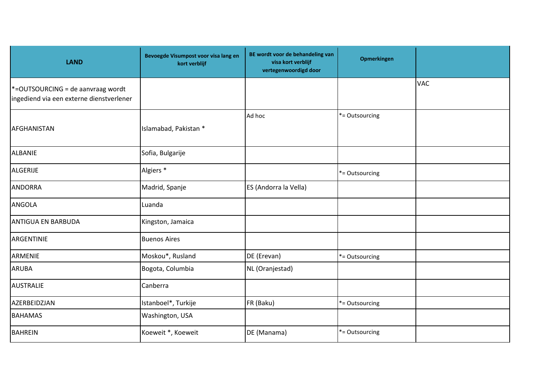| <b>LAND</b>                                                                      | Bevoegde Visumpost voor visa lang en<br>kort verblijf | BE wordt voor de behandeling van<br>visa kort verblijf<br>vertegenwoordigd door | <b>Opmerkingen</b> |            |
|----------------------------------------------------------------------------------|-------------------------------------------------------|---------------------------------------------------------------------------------|--------------------|------------|
| $*$ =OUTSOURCING = de aanvraag wordt<br>ingediend via een externe dienstverlener |                                                       |                                                                                 |                    | <b>VAC</b> |
| AFGHANISTAN                                                                      | Islamabad, Pakistan *                                 | Ad hoc                                                                          | *= Outsourcing     |            |
| <b>ALBANIE</b>                                                                   | Sofia, Bulgarije                                      |                                                                                 |                    |            |
| <b>ALGERIJE</b>                                                                  | Algiers <sup>*</sup>                                  |                                                                                 | *= Outsourcing     |            |
| <b>ANDORRA</b>                                                                   | Madrid, Spanje                                        | ES (Andorra la Vella)                                                           |                    |            |
| <b>ANGOLA</b>                                                                    | Luanda                                                |                                                                                 |                    |            |
| <b>ANTIGUA EN BARBUDA</b>                                                        | Kingston, Jamaica                                     |                                                                                 |                    |            |
| ARGENTINIE                                                                       | <b>Buenos Aires</b>                                   |                                                                                 |                    |            |
| ARMENIE                                                                          | Moskou*, Rusland                                      | DE (Erevan)                                                                     | *= Outsourcing     |            |
| <b>ARUBA</b>                                                                     | Bogota, Columbia                                      | NL (Oranjestad)                                                                 |                    |            |
| <b>AUSTRALIE</b>                                                                 | Canberra                                              |                                                                                 |                    |            |
| AZERBEIDZJAN                                                                     | Istanboel*, Turkije                                   | FR (Baku)                                                                       | *= Outsourcing     |            |
| <b>BAHAMAS</b>                                                                   | Washington, USA                                       |                                                                                 |                    |            |
| <b>BAHREIN</b>                                                                   | Koeweit *, Koeweit                                    | DE (Manama)                                                                     | *= Outsourcing     |            |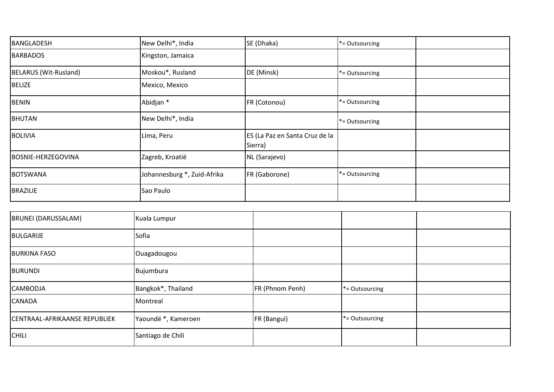| BANGLADESH                | New Delhi*, India           | SE (Dhaka)                                | *= Outsourcing    |  |
|---------------------------|-----------------------------|-------------------------------------------|-------------------|--|
| <b>BARBADOS</b>           | Kingston, Jamaica           |                                           |                   |  |
| BELARUS (Wit-Rusland)     | Moskou*, Rusland            | DE (Minsk)                                | *= Outsourcing    |  |
| <b>BELIZE</b>             | Mexico, Mexico              |                                           |                   |  |
| <b>BENIN</b>              | Abidjan *                   | FR (Cotonou)                              | *= Outsourcing    |  |
| <b>BHUTAN</b>             | New Delhi*, India           |                                           | *= Outsourcing    |  |
| <b>BOLIVIA</b>            | Lima, Peru                  | ES (La Paz en Santa Cruz de la<br>Sierra) |                   |  |
| <b>BOSNIE-HERZEGOVINA</b> | Zagreb, Kroatië             | NL (Sarajevo)                             |                   |  |
| <b>BOTSWANA</b>           | Johannesburg *, Zuid-Afrika | FR (Gaborone)                             | $*$ = Outsourcing |  |
| <b>BRAZILIE</b>           | Sao Paulo                   |                                           |                   |  |

| <b>BRUNEI (DARUSSALAM)</b>    | Kuala Lumpur        |                 |                   |  |
|-------------------------------|---------------------|-----------------|-------------------|--|
| <b>BULGARIJE</b>              | Sofia               |                 |                   |  |
| <b>BURKINA FASO</b>           | Ouagadougou         |                 |                   |  |
| <b>BURUNDI</b>                | Bujumbura           |                 |                   |  |
| <b>CAMBODJA</b>               | Bangkok*, Thailand  | FR (Phnom Penh) | $*$ = Outsourcing |  |
| <b>CANADA</b>                 | Montreal            |                 |                   |  |
| CENTRAAL-AFRIKAANSE REPUBLIEK | Yaoundé *, Kameroen | FR (Bangui)     | $*$ = Outsourcing |  |
| <b>CHILI</b>                  | Santiago de Chili   |                 |                   |  |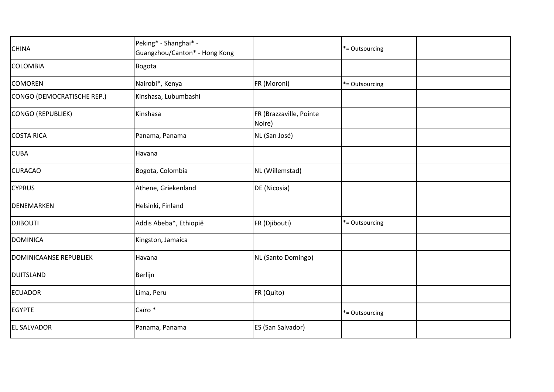| <b>CHINA</b>                  | Peking* - Shanghai* -<br>Guangzhou/Canton* - Hong Kong |                                   | *= Outsourcing |
|-------------------------------|--------------------------------------------------------|-----------------------------------|----------------|
| <b>COLOMBIA</b>               | Bogota                                                 |                                   |                |
| <b>COMOREN</b>                | Nairobi*, Kenya                                        | FR (Moroni)                       | *= Outsourcing |
| CONGO (DEMOCRATISCHE REP.)    | Kinshasa, Lubumbashi                                   |                                   |                |
| <b>CONGO (REPUBLIEK)</b>      | Kinshasa                                               | FR (Brazzaville, Pointe<br>Noire) |                |
| <b>COSTA RICA</b>             | Panama, Panama                                         | NL (San José)                     |                |
| <b>CUBA</b>                   | Havana                                                 |                                   |                |
| <b>CURACAO</b>                | Bogota, Colombia                                       | NL (Willemstad)                   |                |
| <b>CYPRUS</b>                 | Athene, Griekenland                                    | DE (Nicosia)                      |                |
| <b>DENEMARKEN</b>             | Helsinki, Finland                                      |                                   |                |
| <b>DJIBOUTI</b>               | Addis Abeba*, Ethiopië                                 | FR (Djibouti)                     | *= Outsourcing |
| <b>DOMINICA</b>               | Kingston, Jamaica                                      |                                   |                |
| <b>DOMINICAANSE REPUBLIEK</b> | Havana                                                 | NL (Santo Domingo)                |                |
| <b>DUITSLAND</b>              | Berlijn                                                |                                   |                |
| <b>ECUADOR</b>                | Lima, Peru                                             | FR (Quito)                        |                |
| <b>EGYPTE</b>                 | Caïro *                                                |                                   | *= Outsourcing |
| <b>EL SALVADOR</b>            | Panama, Panama                                         | ES (San Salvador)                 |                |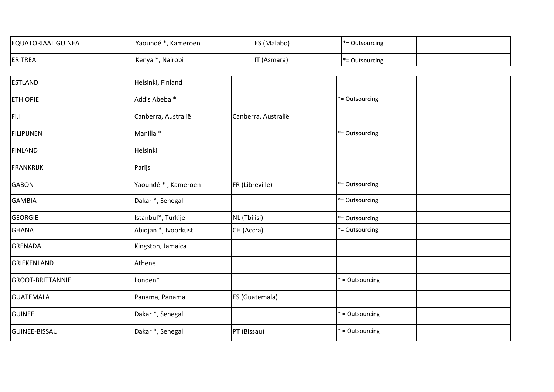| <b>EQUATORIAAL GUINEA</b> | Yaoundé *, Kameroen  |                 | ES (Malabo)           | *= Outsourcing  |  |
|---------------------------|----------------------|-----------------|-----------------------|-----------------|--|
| ERITREA                   | Kenya *, Nairobi     | IT (Asmara)     |                       | *= Outsourcing  |  |
|                           |                      |                 |                       |                 |  |
| <b>ESTLAND</b>            | Helsinki, Finland    |                 |                       |                 |  |
| <b>ETHIOPIE</b>           | Addis Abeba *        |                 |                       | *= Outsourcing  |  |
| FIJI                      | Canberra, Australië  |                 | Canberra, Australië   |                 |  |
| FILIPIJNEN                | Manilla *            |                 |                       | *= Outsourcing  |  |
| <b>FINLAND</b>            | Helsinki             |                 |                       |                 |  |
| <b>FRANKRIJK</b>          | Parijs               |                 |                       |                 |  |
| <b>GABON</b>              | Yaoundé *, Kameroen  | FR (Libreville) |                       | *= Outsourcing  |  |
| <b>GAMBIA</b>             | Dakar *, Senegal     |                 |                       | *= Outsourcing  |  |
| <b>GEORGIE</b>            | Istanbul*, Turkije   | NL (Tbilisi)    |                       | *= Outsourcing  |  |
| <b>GHANA</b>              | Abidjan *, Ivoorkust | CH (Accra)      |                       | *= Outsourcing  |  |
| <b>GRENADA</b>            | Kingston, Jamaica    |                 |                       |                 |  |
| GRIEKENLAND               | Athene               |                 |                       |                 |  |
| <b>GROOT-BRITTANNIE</b>   | Londen*              |                 |                       | * = Outsourcing |  |
| <b>GUATEMALA</b>          | Panama, Panama       |                 | <b>ES</b> (Guatemala) |                 |  |
| <b>GUINEE</b>             | Dakar *, Senegal     |                 |                       | * = Outsourcing |  |
| <b>GUINEE-BISSAU</b>      | Dakar *, Senegal     | PT (Bissau)     |                       | * = Outsourcing |  |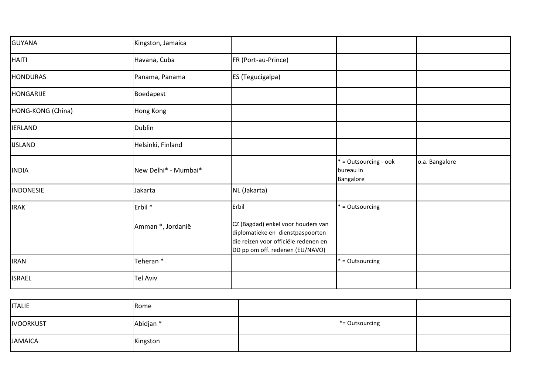| <b>GUYANA</b>     | Kingston, Jamaica                       |                                                                                                                                                            |                                                 |                |
|-------------------|-----------------------------------------|------------------------------------------------------------------------------------------------------------------------------------------------------------|-------------------------------------------------|----------------|
| <b>HAITI</b>      | Havana, Cuba                            | FR (Port-au-Prince)                                                                                                                                        |                                                 |                |
| <b>HONDURAS</b>   | Panama, Panama                          | ES (Tegucigalpa)                                                                                                                                           |                                                 |                |
| <b>HONGARIJE</b>  | Boedapest                               |                                                                                                                                                            |                                                 |                |
| HONG-KONG (China) | Hong Kong                               |                                                                                                                                                            |                                                 |                |
| <b>IERLAND</b>    | <b>Dublin</b>                           |                                                                                                                                                            |                                                 |                |
| <b>IJSLAND</b>    | Helsinki, Finland                       |                                                                                                                                                            |                                                 |                |
| <b>INDIA</b>      | New Delhi* - Mumbai*                    |                                                                                                                                                            | * = Outsourcing - ook<br>bureau in<br>Bangalore | o.a. Bangalore |
| <b>INDONESIE</b>  | Jakarta                                 | NL (Jakarta)                                                                                                                                               |                                                 |                |
| <b>IRAK</b>       | Erbil <sup>*</sup><br>Amman *, Jordanië | Erbil<br>CZ (Bagdad) enkel voor houders van<br>diplomatieke en dienstpaspoorten<br>die reizen voor officiële redenen en<br>DD pp om off. redenen (EU/NAVO) | * = Outsourcing                                 |                |
| <b>IRAN</b>       | Teheran*                                |                                                                                                                                                            | * = Outsourcing                                 |                |
| <b>ISRAEL</b>     | <b>Tel Aviv</b>                         |                                                                                                                                                            |                                                 |                |

| <b>ITALIE</b>    | Rome      |                   |  |
|------------------|-----------|-------------------|--|
| <b>IVOORKUST</b> | Abidjan * | $* =$ Outsourcing |  |
| <b>JAMAICA</b>   | Kingston  |                   |  |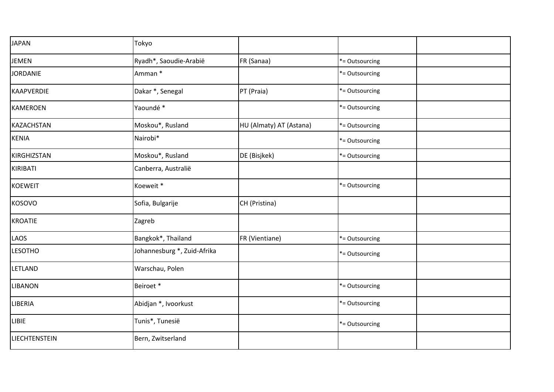| <b>JAPAN</b>         | Tokyo                       |                         |                |  |
|----------------------|-----------------------------|-------------------------|----------------|--|
| <b>JEMEN</b>         | Ryadh*, Saoudie-Arabië      | FR (Sanaa)              | *= Outsourcing |  |
| <b>JORDANIE</b>      | Amman *                     |                         | *= Outsourcing |  |
| KAAPVERDIE           | Dakar *, Senegal            | PT (Praia)              | *= Outsourcing |  |
| <b>KAMEROEN</b>      | Yaoundé *                   |                         | *= Outsourcing |  |
| KAZACHSTAN           | Moskou*, Rusland            | HU (Almaty) AT (Astana) | *= Outsourcing |  |
| <b>KENIA</b>         | Nairobi*                    |                         | *= Outsourcing |  |
| KIRGHIZSTAN          | Moskou*, Rusland            | DE (Bisjkek)            | *= Outsourcing |  |
| KIRIBATI             | Canberra, Australië         |                         |                |  |
| <b>KOEWEIT</b>       | Koeweit *                   |                         | *= Outsourcing |  |
| <b>KOSOVO</b>        | Sofia, Bulgarije            | CH (Pristina)           |                |  |
| <b>KROATIE</b>       | Zagreb                      |                         |                |  |
| LAOS                 | Bangkok*, Thailand          | FR (Vientiane)          | *= Outsourcing |  |
| <b>LESOTHO</b>       | Johannesburg *, Zuid-Afrika |                         | *= Outsourcing |  |
| <b>LETLAND</b>       | Warschau, Polen             |                         |                |  |
| <b>LIBANON</b>       | Beiroet*                    |                         | *= Outsourcing |  |
| LIBERIA              | Abidjan *, Ivoorkust        |                         | *= Outsourcing |  |
| LIBIE                | Tunis*, Tunesië             |                         | *= Outsourcing |  |
| <b>LIECHTENSTEIN</b> | Bern, Zwitserland           |                         |                |  |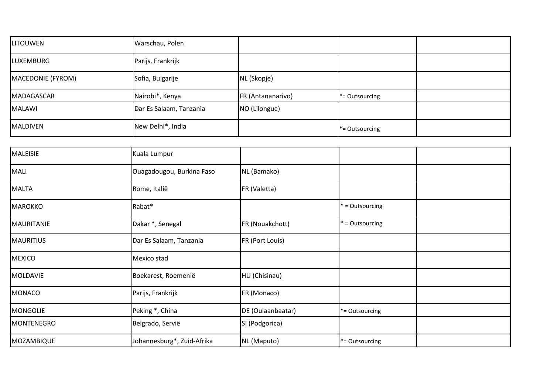| <b>LITOUWEN</b>   | Warschau, Polen         |                   |                   |  |
|-------------------|-------------------------|-------------------|-------------------|--|
| <b>LUXEMBURG</b>  | Parijs, Frankrijk       |                   |                   |  |
| MACEDONIE (FYROM) | Sofia, Bulgarije        | NL (Skopje)       |                   |  |
| <b>MADAGASCAR</b> | Nairobi*, Kenya         | FR (Antananarivo) | $* =$ Outsourcing |  |
| <b>MALAWI</b>     | Dar Es Salaam, Tanzania | NO (Lilongue)     |                   |  |
| <b>MALDIVEN</b>   | New Delhi*, India       |                   | $* =$ Outsourcing |  |

| <b>MALEISIE</b>   | Kuala Lumpur               |                   |                   |  |
|-------------------|----------------------------|-------------------|-------------------|--|
| <b>MALI</b>       | Ouagadougou, Burkina Faso  | NL (Bamako)       |                   |  |
| <b>MALTA</b>      | Rome, Italië               | FR (Valetta)      |                   |  |
| <b>MAROKKO</b>    | Rabat*                     |                   | * = Outsourcing   |  |
| MAURITANIE        | Dakar *, Senegal           | FR (Nouakchott)   | * = Outsourcing   |  |
| <b>MAURITIUS</b>  | Dar Es Salaam, Tanzania    | FR (Port Louis)   |                   |  |
| <b>MEXICO</b>     | Mexico stad                |                   |                   |  |
| <b>MOLDAVIE</b>   | Boekarest, Roemenië        | HU (Chisinau)     |                   |  |
| <b>MONACO</b>     | Parijs, Frankrijk          | FR (Monaco)       |                   |  |
| <b>MONGOLIE</b>   | Peking *, China            | DE (Oulaanbaatar) | *= Outsourcing    |  |
| <b>MONTENEGRO</b> | Belgrado, Servië           | SI (Podgorica)    |                   |  |
| MOZAMBIQUE        | Johannesburg*, Zuid-Afrika | NL (Maputo)       | $*$ = Outsourcing |  |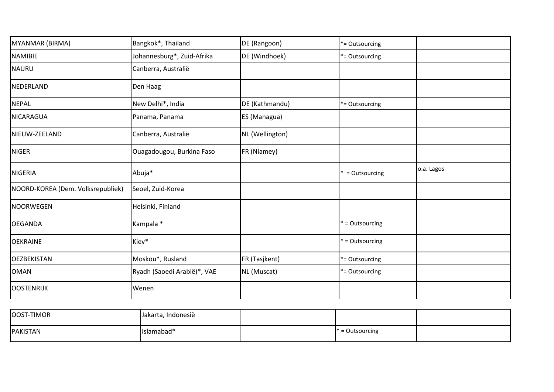| MYANMAR (BIRMA)                   | Bangkok*, Thailand          | DE (Rangoon)    | *= Outsourcing  |            |
|-----------------------------------|-----------------------------|-----------------|-----------------|------------|
| <b>NAMIBIE</b>                    | Johannesburg*, Zuid-Afrika  | DE (Windhoek)   | *= Outsourcing  |            |
| <b>NAURU</b>                      | Canberra, Australië         |                 |                 |            |
| NEDERLAND                         | Den Haag                    |                 |                 |            |
| <b>NEPAL</b>                      | New Delhi*, India           | DE (Kathmandu)  | *= Outsourcing  |            |
| NICARAGUA                         | Panama, Panama              | ES (Managua)    |                 |            |
| NIEUW-ZEELAND                     | Canberra, Australië         | NL (Wellington) |                 |            |
| <b>NIGER</b>                      | Ouagadougou, Burkina Faso   | FR (Niamey)     |                 |            |
| <b>NIGERIA</b>                    | Abuja*                      |                 | = Outsourcing   | o.a. Lagos |
| NOORD-KOREA (Dem. Volksrepubliek) | Seoel, Zuid-Korea           |                 |                 |            |
| NOORWEGEN                         | Helsinki, Finland           |                 |                 |            |
| <b>OEGANDA</b>                    | Kampala *                   |                 | * = Outsourcing |            |
| <b>OEKRAINE</b>                   | Kiev*                       |                 | * = Outsourcing |            |
| <b>OEZBEKISTAN</b>                | Moskou*, Rusland            | FR (Tasjkent)   | *= Outsourcing  |            |
| <b>OMAN</b>                       | Ryadh (Saoedi Arabië)*, VAE | NL (Muscat)     | *= Outsourcing  |            |
| OOSTENRIJK                        | Wenen                       |                 |                 |            |

| OOST-TIMOR      | Jakarta, Indonesië |                   |  |
|-----------------|--------------------|-------------------|--|
| <b>PAKISTAN</b> | Islamabad*         | $* =$ Outsourcing |  |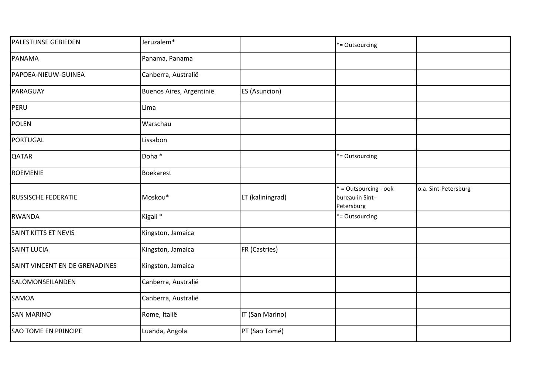| <b>PALESTIJNSE GEBIEDEN</b>    | Jeruzalem*               |                  | *= Outsourcing                                         |                      |
|--------------------------------|--------------------------|------------------|--------------------------------------------------------|----------------------|
| PANAMA                         | Panama, Panama           |                  |                                                        |                      |
| PAPOEA-NIEUW-GUINEA            | Canberra, Australië      |                  |                                                        |                      |
| PARAGUAY                       | Buenos Aires, Argentinië | ES (Asuncion)    |                                                        |                      |
| PERU                           | Lima                     |                  |                                                        |                      |
| <b>POLEN</b>                   | Warschau                 |                  |                                                        |                      |
| PORTUGAL                       | Lissabon                 |                  |                                                        |                      |
| <b>QATAR</b>                   | Doha *                   |                  | *= Outsourcing                                         |                      |
| ROEMENIE                       | <b>Boekarest</b>         |                  |                                                        |                      |
| <b>RUSSISCHE FEDERATIE</b>     | Moskou*                  | LT (kaliningrad) | * = Outsourcing - ook<br>bureau in Sint-<br>Petersburg | o.a. Sint-Petersburg |
| <b>RWANDA</b>                  | Kigali <sup>*</sup>      |                  | *= Outsourcing                                         |                      |
| <b>SAINT KITTS ET NEVIS</b>    | Kingston, Jamaica        |                  |                                                        |                      |
| <b>SAINT LUCIA</b>             | Kingston, Jamaica        | FR (Castries)    |                                                        |                      |
| SAINT VINCENT EN DE GRENADINES | Kingston, Jamaica        |                  |                                                        |                      |
| SALOMONSEILANDEN               | Canberra, Australië      |                  |                                                        |                      |
| <b>SAMOA</b>                   | Canberra, Australië      |                  |                                                        |                      |
| <b>SAN MARINO</b>              | Rome, Italië             | IT (San Marino)  |                                                        |                      |
| <b>SAO TOME EN PRINCIPE</b>    | Luanda, Angola           | PT (Sao Tomé)    |                                                        |                      |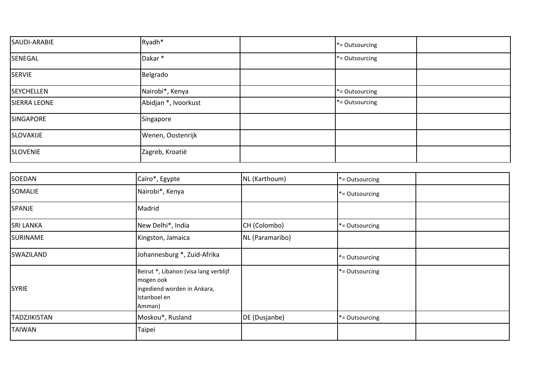| SAUDI-ARABIE        | Ryadh*               | *= Outsourcing |  |
|---------------------|----------------------|----------------|--|
| SENEGAL             | Dakar*               | *= Outsourcing |  |
| <b>SERVIE</b>       | Belgrado             |                |  |
| <b>SEYCHELLEN</b>   | Nairobi*, Kenya      | *= Outsourcing |  |
| <b>SIERRA LEONE</b> | Abidjan *, Ivoorkust | *= Outsourcing |  |
| SINGAPORE           | Singapore            |                |  |
| SLOVAKIJE           | Wenen, Oostenrijk    |                |  |
| <b>SLOVENIE</b>     | Zagreb, Kroatië      |                |  |

| SOEDAN              | Caïro*, Egypte                                                                                              | NL (Karthoum)   | *= Outsourcing |
|---------------------|-------------------------------------------------------------------------------------------------------------|-----------------|----------------|
| <b>SOMALIE</b>      | Nairobi*, Kenya                                                                                             |                 | *= Outsourcing |
| SPANJE              | Madrid                                                                                                      |                 |                |
| <b>SRI LANKA</b>    | New Delhi*, India                                                                                           | CH (Colombo)    | *= Outsourcing |
| <b>SURINAME</b>     | Kingston, Jamaica                                                                                           | NL (Paramaribo) |                |
| SWAZILAND           | Johannesburg *, Zuid-Afrika                                                                                 |                 | *= Outsourcing |
| <b>SYRIE</b>        | Beirut *, Libanon (visa lang verblijf<br>mogen ook<br>ingediend worden in Ankara,<br>Istanboel en<br>Amman) |                 | *= Outsourcing |
| <b>TADZJIKISTAN</b> | Moskou*, Rusland                                                                                            | DE (Dusjanbe)   | *= Outsourcing |
| <b>TAIWAN</b>       | Taipei                                                                                                      |                 |                |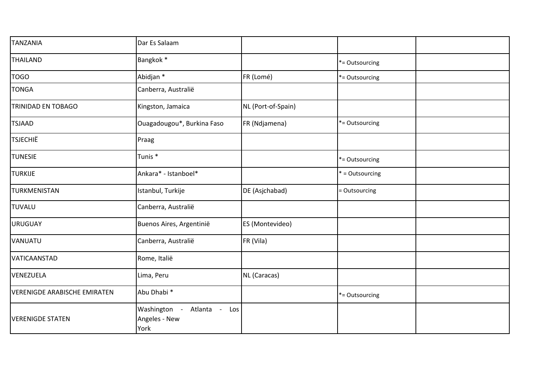| <b>TANZANIA</b>                     | Dar Es Salaam                                             |                    |                 |  |
|-------------------------------------|-----------------------------------------------------------|--------------------|-----------------|--|
| <b>THAILAND</b>                     | Bangkok *                                                 |                    | *= Outsourcing  |  |
| <b>TOGO</b>                         | Abidjan *                                                 | FR (Lomé)          | *= Outsourcing  |  |
| <b>TONGA</b>                        | Canberra, Australië                                       |                    |                 |  |
| TRINIDAD EN TOBAGO                  | Kingston, Jamaica                                         | NL (Port-of-Spain) |                 |  |
| <b>TSJAAD</b>                       | Ouagadougou*, Burkina Faso                                | FR (Ndjamena)      | *= Outsourcing  |  |
| <b>TSJECHIË</b>                     | Praag                                                     |                    |                 |  |
| <b>TUNESIE</b>                      | Tunis <sup>*</sup>                                        |                    | *= Outsourcing  |  |
| <b>TURKIJE</b>                      | Ankara* - Istanboel*                                      |                    | * = Outsourcing |  |
| TURKMENISTAN                        | Istanbul, Turkije                                         | DE (Asjchabad)     | = Outsourcing   |  |
| TUVALU                              | Canberra, Australië                                       |                    |                 |  |
| <b>URUGUAY</b>                      | Buenos Aires, Argentinië                                  | ES (Montevideo)    |                 |  |
| VANUATU                             | Canberra, Australië                                       | FR (Vila)          |                 |  |
| VATICAANSTAD                        | Rome, Italië                                              |                    |                 |  |
| VENEZUELA                           | Lima, Peru                                                | NL (Caracas)       |                 |  |
| <b>VERENIGDE ARABISCHE EMIRATEN</b> | Abu Dhabi <sup>*</sup>                                    |                    | *= Outsourcing  |  |
| <b>VERENIGDE STATEN</b>             | Atlanta -<br>Washington -<br>Los<br>Angeles - New<br>York |                    |                 |  |